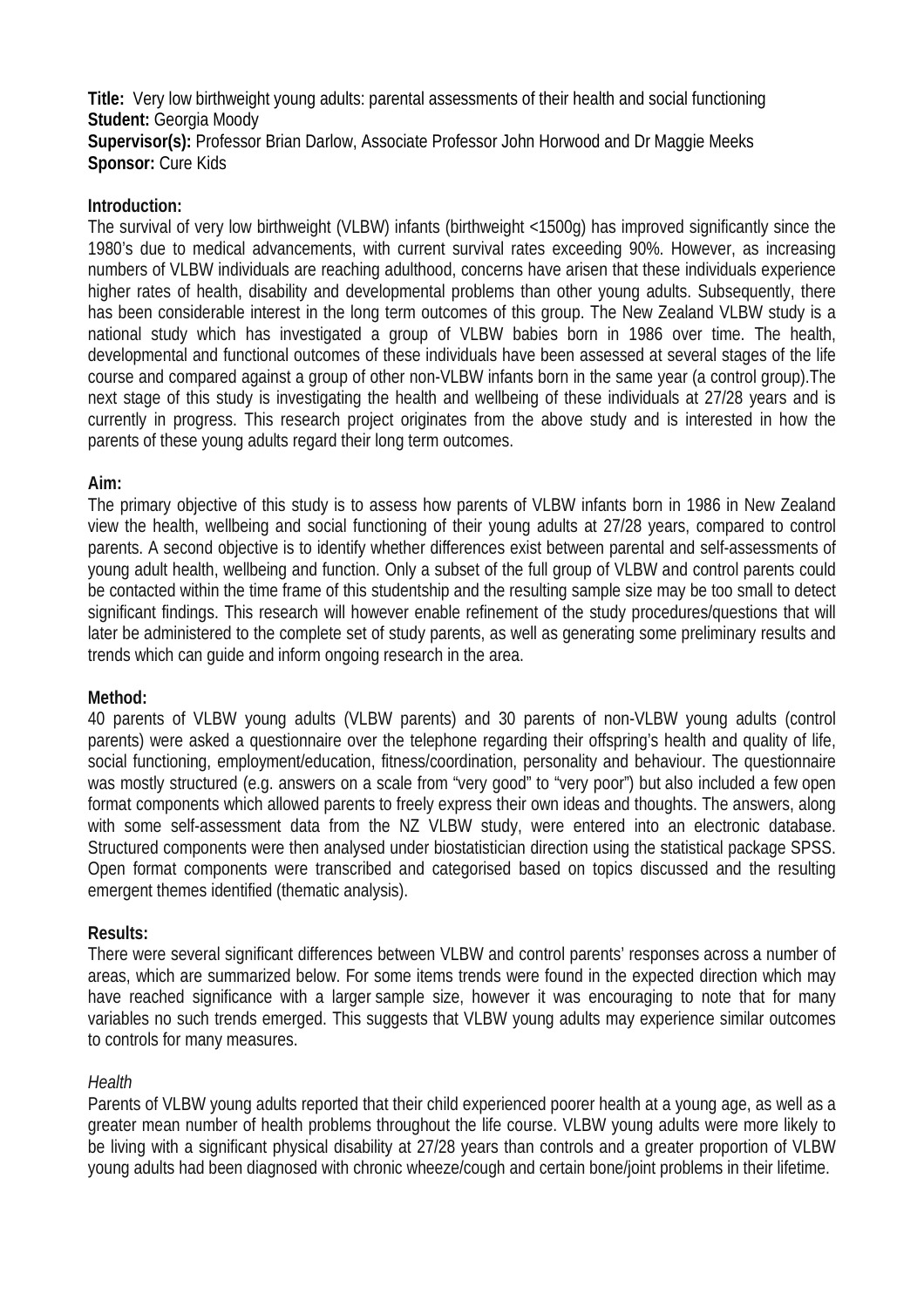**Title:** Very low birthweight young adults: parental assessments of their health and social functioning **Student:** Georgia Moody **Supervisor(s):** Professor Brian Darlow, Associate Professor John Horwood and Dr Maggie Meeks **Sponsor:** Cure Kids

# **Introduction:**

The survival of very low birthweight (VLBW) infants (birthweight <1500g) has improved significantly since the 1980's due to medical advancements, with current survival rates exceeding 90%. However, as increasing numbers of VLBW individuals are reaching adulthood, concerns have arisen that these individuals experience higher rates of health, disability and developmental problems than other young adults. Subsequently, there has been considerable interest in the long term outcomes of this group. The New Zealand VLBW study is a national study which has investigated a group of VLBW babies born in 1986 over time. The health, developmental and functional outcomes of these individuals have been assessed at several stages of the life course and compared against a group of other non-VLBW infants born in the same year (a control group).The next stage of this study is investigating the health and wellbeing of these individuals at 27/28 years and is currently in progress. This research project originates from the above study and is interested in how the parents of these young adults regard their long term outcomes.

# **Aim:**

The primary objective of this study is to assess how parents of VLBW infants born in 1986 in New Zealand view the health, wellbeing and social functioning of their young adults at 27/28 years, compared to control parents. A second objective is to identify whether differences exist between parental and self-assessments of young adult health, wellbeing and function. Only a subset of the full group of VLBW and control parents could be contacted within the time frame of this studentship and the resulting sample size may be too small to detect significant findings. This research will however enable refinement of the study procedures/questions that will later be administered to the complete set of study parents, as well as generating some preliminary results and trends which can guide and inform ongoing research in the area.

# **Method:**

40 parents of VLBW young adults (VLBW parents) and 30 parents of non-VLBW young adults (control parents) were asked a questionnaire over the telephone regarding their offspring's health and quality of life, social functioning, employment/education, fitness/coordination, personality and behaviour. The questionnaire was mostly structured (e.g. answers on a scale from "very good" to "very poor") but also included a few open format components which allowed parents to freely express their own ideas and thoughts. The answers, along with some self-assessment data from the NZ VLBW study, were entered into an electronic database. Structured components were then analysed under biostatistician direction using the statistical package SPSS. Open format components were transcribed and categorised based on topics discussed and the resulting emergent themes identified (thematic analysis).

# **Results:**

There were several significant differences between VLBW and control parents' responses across a number of areas, which are summarized below. For some items trends were found in the expected direction which may have reached significance with a larger sample size, however it was encouraging to note that for many variables no such trends emerged. This suggests that VLBW young adults may experience similar outcomes to controls for many measures.

# *Health*

Parents of VLBW young adults reported that their child experienced poorer health at a young age, as well as a greater mean number of health problems throughout the life course. VLBW young adults were more likely to be living with a significant physical disability at 27/28 years than controls and a greater proportion of VLBW young adults had been diagnosed with chronic wheeze/cough and certain bone/joint problems in their lifetime.